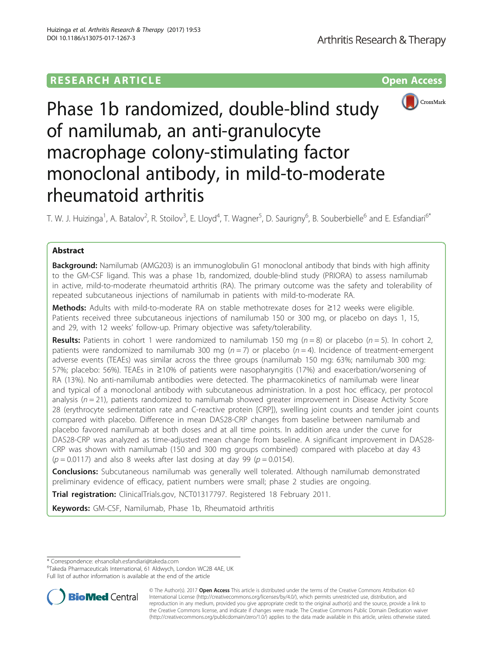# **RESEARCH ARTICLE Example 2014 12:30 The Contract of Contract ACCESS**



# Phase 1b randomized, double-blind study of namilumab, an anti-granulocyte macrophage colony-stimulating factor monoclonal antibody, in mild-to-moderate rheumatoid arthritis

T. W. J. Huizinga<sup>1</sup>, A. Batalov<sup>2</sup>, R. Stoilov<sup>3</sup>, E. Lloyd<sup>4</sup>, T. Wagner<sup>5</sup>, D. Saurigny<sup>6</sup>, B. Souberbielle<sup>6</sup> and E. Esfandiari<sup>6\*</sup>

# Abstract

**Background:** Namilumab (AMG203) is an immunoglobulin G1 monoclonal antibody that binds with high affinity to the GM-CSF ligand. This was a phase 1b, randomized, double-blind study (PRIORA) to assess namilumab in active, mild-to-moderate rheumatoid arthritis (RA). The primary outcome was the safety and tolerability of repeated subcutaneous injections of namilumab in patients with mild-to-moderate RA.

Methods: Adults with mild-to-moderate RA on stable methotrexate doses for ≥12 weeks were eligible. Patients received three subcutaneous injections of namilumab 150 or 300 mg, or placebo on days 1, 15, and 29, with 12 weeks' follow-up. Primary objective was safety/tolerability.

**Results:** Patients in cohort 1 were randomized to namilumab 150 mg ( $n = 8$ ) or placebo ( $n = 5$ ). In cohort 2, patients were randomized to namilumab 300 mg ( $n = 7$ ) or placebo ( $n = 4$ ). Incidence of treatment-emergent adverse events (TEAEs) was similar across the three groups (namilumab 150 mg: 63%; namilumab 300 mg: 57%; placebo: 56%). TEAEs in ≥10% of patients were nasopharyngitis (17%) and exacerbation/worsening of RA (13%). No anti-namilumab antibodies were detected. The pharmacokinetics of namilumab were linear and typical of a monoclonal antibody with subcutaneous administration. In a post hoc efficacy, per protocol analysis  $(n = 21)$ , patients randomized to namilumab showed greater improvement in Disease Activity Score 28 (erythrocyte sedimentation rate and C-reactive protein [CRP]), swelling joint counts and tender joint counts compared with placebo. Difference in mean DAS28-CRP changes from baseline between namilumab and placebo favored namilumab at both doses and at all time points. In addition area under the curve for DAS28-CRP was analyzed as time-adjusted mean change from baseline. A significant improvement in DAS28- CRP was shown with namilumab (150 and 300 mg groups combined) compared with placebo at day 43  $(p = 0.0117)$  and also 8 weeks after last dosing at day 99 ( $p = 0.0154$ ).

**Conclusions:** Subcutaneous namilumab was generally well tolerated. Although namilumab demonstrated preliminary evidence of efficacy, patient numbers were small; phase 2 studies are ongoing.

Trial registration: ClinicalTrials.gov, [NCT01317797](https://clinicaltrials.gov/ct2/show/NCT01317797). Registered 18 February 2011.

Keywords: GM-CSF, Namilumab, Phase 1b, Rheumatoid arthritis

\* Correspondence: [ehsanollah.esfandiari@takeda.com](mailto:ehsanollah.esfandiari@takeda.com) <sup>6</sup>

Takeda Pharmaceuticals International, 61 Aldwych, London WC2B 4AE, UK Full list of author information is available at the end of the article



<sup>©</sup> The Author(s). 2017 **Open Access** This article is distributed under the terms of the Creative Commons Attribution 4.0 International License [\(http://creativecommons.org/licenses/by/4.0/](http://creativecommons.org/licenses/by/4.0/)), which permits unrestricted use, distribution, and reproduction in any medium, provided you give appropriate credit to the original author(s) and the source, provide a link to the Creative Commons license, and indicate if changes were made. The Creative Commons Public Domain Dedication waiver [\(http://creativecommons.org/publicdomain/zero/1.0/](http://creativecommons.org/publicdomain/zero/1.0/)) applies to the data made available in this article, unless otherwise stated.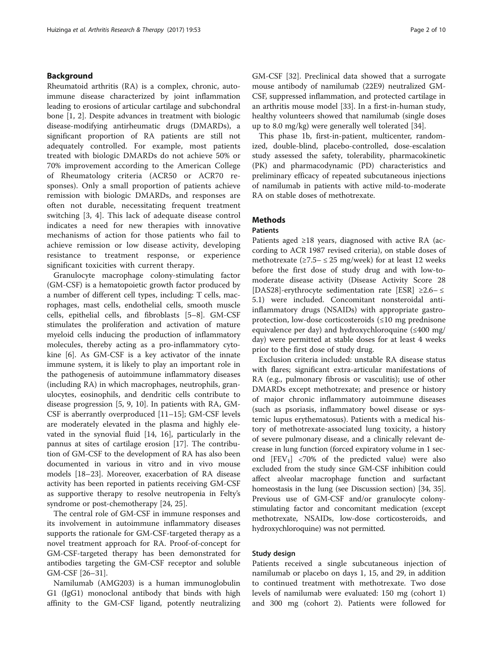# Background

Rheumatoid arthritis (RA) is a complex, chronic, autoimmune disease characterized by joint inflammation leading to erosions of articular cartilage and subchondral bone [\[1](#page-8-0), [2\]](#page-8-0). Despite advances in treatment with biologic disease-modifying antirheumatic drugs (DMARDs), a significant proportion of RA patients are still not adequately controlled. For example, most patients treated with biologic DMARDs do not achieve 50% or 70% improvement according to the American College of Rheumatology criteria (ACR50 or ACR70 responses). Only a small proportion of patients achieve remission with biologic DMARDs, and responses are often not durable, necessitating frequent treatment switching [[3, 4](#page-8-0)]. This lack of adequate disease control indicates a need for new therapies with innovative mechanisms of action for those patients who fail to achieve remission or low disease activity, developing resistance to treatment response, or experience significant toxicities with current therapy.

Granulocyte macrophage colony-stimulating factor (GM-CSF) is a hematopoietic growth factor produced by a number of different cell types, including: T cells, macrophages, mast cells, endothelial cells, smooth muscle cells, epithelial cells, and fibroblasts [\[5](#page-8-0)–[8](#page-8-0)]. GM-CSF stimulates the proliferation and activation of mature myeloid cells inducing the production of inflammatory molecules, thereby acting as a pro-inflammatory cytokine [\[6\]](#page-8-0). As GM-CSF is a key activator of the innate immune system, it is likely to play an important role in the pathogenesis of autoimmune inflammatory diseases (including RA) in which macrophages, neutrophils, granulocytes, eosinophils, and dendritic cells contribute to disease progression [[5, 9](#page-8-0), [10\]](#page-8-0). In patients with RA, GM-CSF is aberrantly overproduced [\[11](#page-8-0)–[15\]](#page-8-0); GM-CSF levels are moderately elevated in the plasma and highly elevated in the synovial fluid [\[14](#page-8-0), [16\]](#page-8-0), particularly in the pannus at sites of cartilage erosion [\[17](#page-8-0)]. The contribution of GM-CSF to the development of RA has also been documented in various in vitro and in vivo mouse models [[18](#page-8-0)–[23](#page-9-0)]. Moreover, exacerbation of RA disease activity has been reported in patients receiving GM-CSF as supportive therapy to resolve neutropenia in Felty's syndrome or post-chemotherapy [\[24](#page-9-0), [25](#page-9-0)].

The central role of GM-CSF in immune responses and its involvement in autoimmune inflammatory diseases supports the rationale for GM-CSF-targeted therapy as a novel treatment approach for RA. Proof-of-concept for GM-CSF-targeted therapy has been demonstrated for antibodies targeting the GM-CSF receptor and soluble GM-CSF [\[26](#page-9-0)–[31\]](#page-9-0).

Namilumab (AMG203) is a human immunoglobulin G1 (IgG1) monoclonal antibody that binds with high affinity to the GM-CSF ligand, potently neutralizing GM-CSF [[32\]](#page-9-0). Preclinical data showed that a surrogate mouse antibody of namilumab (22E9) neutralized GM-CSF, suppressed inflammation, and protected cartilage in an arthritis mouse model [\[33](#page-9-0)]. In a first-in-human study, healthy volunteers showed that namilumab (single doses up to 8.0 mg/kg) were generally well tolerated [[34\]](#page-9-0).

This phase 1b, first-in-patient, multicenter, randomized, double-blind, placebo-controlled, dose-escalation study assessed the safety, tolerability, pharmacokinetic (PK) and pharmacodynamic (PD) characteristics and preliminary efficacy of repeated subcutaneous injections of namilumab in patients with active mild-to-moderate RA on stable doses of methotrexate.

# **Methods**

## **Patients**

Patients aged  $\geq 18$  years, diagnosed with active RA (according to ACR 1987 revised criteria), on stable doses of methotrexate ( $\geq$ 7.5–  $\leq$  25 mg/week) for at least 12 weeks before the first dose of study drug and with low-tomoderate disease activity (Disease Activity Score 28 [DAS28]-erythrocyte sedimentation rate [ESR] ≥2.6– ≤ 5.1) were included. Concomitant nonsteroidal antiinflammatory drugs (NSAIDs) with appropriate gastroprotection, low-dose corticosteroids (≤10 mg prednisone equivalence per day) and hydroxychloroquine  $(\leq 400 \text{ mg})$ day) were permitted at stable doses for at least 4 weeks prior to the first dose of study drug.

Exclusion criteria included: unstable RA disease status with flares; significant extra-articular manifestations of RA (e.g., pulmonary fibrosis or vasculitis); use of other DMARDs except methotrexate; and presence or history of major chronic inflammatory autoimmune diseases (such as psoriasis, inflammatory bowel disease or systemic lupus erythematosus). Patients with a medical history of methotrexate-associated lung toxicity, a history of severe pulmonary disease, and a clinically relevant decrease in lung function (forced expiratory volume in 1 second  $[FEV<sub>1</sub>]$  <70% of the predicted value) were also excluded from the study since GM-CSF inhibition could affect alveolar macrophage function and surfactant homeostasis in the lung (see Discussion section) [[34](#page-9-0), [35](#page-9-0)]. Previous use of GM-CSF and/or granulocyte colonystimulating factor and concomitant medication (except methotrexate, NSAIDs, low-dose corticosteroids, and hydroxychloroquine) was not permitted.

# Study design

Patients received a single subcutaneous injection of namilumab or placebo on days 1, 15, and 29, in addition to continued treatment with methotrexate. Two dose levels of namilumab were evaluated: 150 mg (cohort 1) and 300 mg (cohort 2). Patients were followed for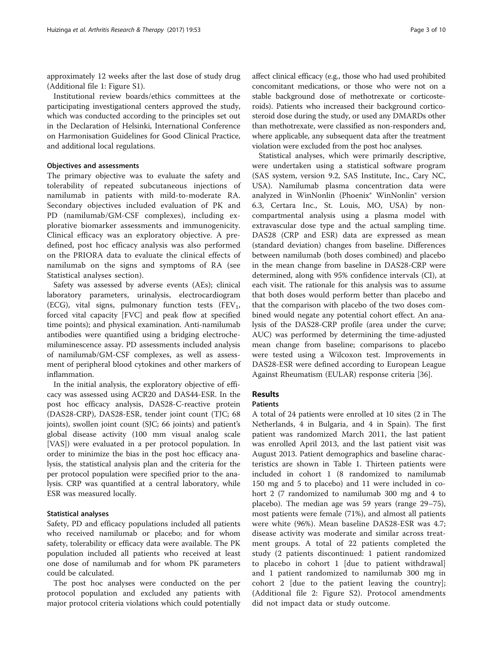approximately 12 weeks after the last dose of study drug (Additional file [1](#page-7-0): Figure S1).

Institutional review boards/ethics committees at the participating investigational centers approved the study, which was conducted according to the principles set out in the Declaration of Helsinki, International Conference on Harmonisation Guidelines for Good Clinical Practice, and additional local regulations.

# Objectives and assessments

The primary objective was to evaluate the safety and tolerability of repeated subcutaneous injections of namilumab in patients with mild-to-moderate RA. Secondary objectives included evaluation of PK and PD (namilumab/GM-CSF complexes), including explorative biomarker assessments and immunogenicity. Clinical efficacy was an exploratory objective. A predefined, post hoc efficacy analysis was also performed on the PRIORA data to evaluate the clinical effects of namilumab on the signs and symptoms of RA (see Statistical analyses section).

Safety was assessed by adverse events (AEs); clinical laboratory parameters, urinalysis, electrocardiogram (ECG), vital signs, pulmonary function tests (FEV<sub>1</sub>, forced vital capacity [FVC] and peak flow at specified time points); and physical examination. Anti-namilumab antibodies were quantified using a bridging electrochemiluminescence assay. PD assessments included analysis of namilumab/GM-CSF complexes, as well as assessment of peripheral blood cytokines and other markers of inflammation.

In the initial analysis, the exploratory objective of efficacy was assessed using ACR20 and DAS44-ESR. In the post hoc efficacy analysis, DAS28-C-reactive protein (DAS28-CRP), DAS28-ESR, tender joint count (TJC; 68 joints), swollen joint count (SJC; 66 joints) and patient's global disease activity (100 mm visual analog scale [VAS]) were evaluated in a per protocol population. In order to minimize the bias in the post hoc efficacy analysis, the statistical analysis plan and the criteria for the per protocol population were specified prior to the analysis. CRP was quantified at a central laboratory, while ESR was measured locally.

## Statistical analyses

Safety, PD and efficacy populations included all patients who received namilumab or placebo; and for whom safety, tolerability or efficacy data were available. The PK population included all patients who received at least one dose of namilumab and for whom PK parameters could be calculated.

The post hoc analyses were conducted on the per protocol population and excluded any patients with major protocol criteria violations which could potentially

affect clinical efficacy (e.g., those who had used prohibited concomitant medications, or those who were not on a stable background dose of methotrexate or corticosteroids). Patients who increased their background corticosteroid dose during the study, or used any DMARDs other than methotrexate, were classified as non-responders and, where applicable, any subsequent data after the treatment violation were excluded from the post hoc analyses.

Statistical analyses, which were primarily descriptive, were undertaken using a statistical software program (SAS system, version 9.2, SAS Institute, Inc., Cary NC, USA). Namilumab plasma concentration data were analyzed in WinNonlin (Phoenix® WinNonlin® version 6.3, Certara Inc., St. Louis, MO, USA) by noncompartmental analysis using a plasma model with extravascular dose type and the actual sampling time. DAS28 (CRP and ESR) data are expressed as mean (standard deviation) changes from baseline. Differences between namilumab (both doses combined) and placebo in the mean change from baseline in DAS28-CRP were determined, along with 95% confidence intervals (CI), at each visit. The rationale for this analysis was to assume that both doses would perform better than placebo and that the comparison with placebo of the two doses combined would negate any potential cohort effect. An analysis of the DAS28-CRP profile (area under the curve; AUC) was performed by determining the time-adjusted mean change from baseline; comparisons to placebo were tested using a Wilcoxon test. Improvements in DAS28-ESR were defined according to European League Against Rheumatism (EULAR) response criteria [\[36](#page-9-0)].

# Results

# Patients

A total of 24 patients were enrolled at 10 sites (2 in The Netherlands, 4 in Bulgaria, and 4 in Spain). The first patient was randomized March 2011, the last patient was enrolled April 2013, and the last patient visit was August 2013. Patient demographics and baseline characteristics are shown in Table [1.](#page-3-0) Thirteen patients were included in cohort 1 (8 randomized to namilumab 150 mg and 5 to placebo) and 11 were included in cohort 2 (7 randomized to namilumab 300 mg and 4 to placebo). The median age was 59 years (range 29–75), most patients were female (71%), and almost all patients were white (96%). Mean baseline DAS28-ESR was 4.7; disease activity was moderate and similar across treatment groups. A total of 22 patients completed the study (2 patients discontinued: 1 patient randomized to placebo in cohort 1 [due to patient withdrawal] and 1 patient randomized to namilumab 300 mg in cohort 2 [due to the patient leaving the country]; (Additional file [2:](#page-7-0) Figure S2). Protocol amendments did not impact data or study outcome.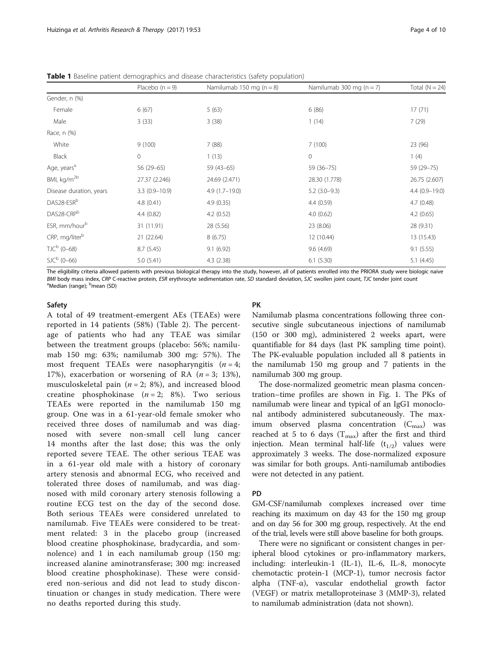|               | Placebo $(n = 9)$ | Namilumab 150 mg ( $n = 8$ ) | Namilumab 300 mg ( $n = 7$ ) | Total $(N = 24)$ |
|---------------|-------------------|------------------------------|------------------------------|------------------|
| Gender, n (%) |                   |                              |                              |                  |
| Female        | 6(67)             | 5(63)                        | 6(86)                        | 17(71)           |
| Male          | 3(33)             | 3(38)                        | (14)                         | 7(29)            |
| Race, n (%)   |                   |                              |                              |                  |
| White         | 9(100)            | 7 (88)                       | 7(100)                       | 23 (96)          |
| Black         |                   | (13)                         |                              | (4)              |

<span id="page-3-0"></span>Table 1 Baseline patient demographics and disease characteristics (safety population)

The eligibility criteria allowed patients with previous biological therapy into the study, however, all of patients enrolled into the PRIORA study were biologic naive BMI body mass index, CRP C-reactive protein, ESR erythrocyte sedimentation rate, SD standard deviation, SJC swollen joint count, TJC tender joint count Median (range); <sup>b</sup>mean (SD)

Age, years<sup>a</sup> 56 (29–65) 59 (43–65) 59 (36–75) 59 (36–75) 59 (36–75) 59 (29–75) BMI, kg/m<sup>2b</sup> 27.37 (2.246) 24.69 (2.471) 28.30 (1.778) 26.75 (2.607) Disease duration, years 3.3 (0.9–10.9) 4.9 (1.7–19.0) 5.2 (3.0–9.3) 4.4 (0.9–19.0)  $\mathsf{DAS28-ESR}^{\mathsf{b}}$  4.8 (0.41) 4.9 (0.35) 4.4 (0.59) 4.7 (0.48)  $0.652$   $0.65$ )  $4.4 \ (0.82)$   $4.2 \ (0.52)$   $4.2 \ (0.65)$ ESR, mm/hour<sup>b</sup> 31 (11.91) 28 (5.56) 28 (9.31) 28 (9.31) CRP, mg/liter<sup>b</sup> 21 (22.64) 8 (6.75) 12 (10.44) 13 (15.43)  $\text{TJC}^{\text{b}}$  (0–68) 8.7 (5.45) 9.1 (6.92) 9.1 (6.92) 9.6 (4.69) 9.1 (5.55)  $SL<sup>b</sup>$  (0–66) 5.0 (5.41) 4.3 (2.38) 6.1 (5.30) 5.1 (4.45)

### Safety

A total of 49 treatment-emergent AEs (TEAEs) were reported in 14 patients (58%) (Table [2\)](#page-4-0). The percentage of patients who had any TEAE was similar between the treatment groups (placebo: 56%; namilumab 150 mg: 63%; namilumab 300 mg: 57%). The most frequent TEAEs were nasopharyngitis  $(n = 4)$ ; 17%), exacerbation or worsening of RA  $(n=3; 13)$ , musculoskeletal pain ( $n = 2$ ; 8%), and increased blood creatine phosphokinase  $(n = 2; 8\%)$ . Two serious TEAEs were reported in the namilumab 150 mg group. One was in a 61-year-old female smoker who received three doses of namilumab and was diagnosed with severe non-small cell lung cancer 14 months after the last dose; this was the only reported severe TEAE. The other serious TEAE was in a 61-year old male with a history of coronary artery stenosis and abnormal ECG, who received and tolerated three doses of namilumab, and was diagnosed with mild coronary artery stenosis following a routine ECG test on the day of the second dose. Both serious TEAEs were considered unrelated to namilumab. Five TEAEs were considered to be treatment related: 3 in the placebo group (increased blood creatine phosphokinase, bradycardia, and somnolence) and 1 in each namilumab group (150 mg: increased alanine aminotransferase; 300 mg: increased blood creatine phosphokinase). These were considered non-serious and did not lead to study discontinuation or changes in study medication. There were no deaths reported during this study.

# PK

Namilumab plasma concentrations following three consecutive single subcutaneous injections of namilumab (150 or 300 mg), administered 2 weeks apart, were quantifiable for 84 days (last PK sampling time point). The PK-evaluable population included all 8 patients in the namilumab 150 mg group and 7 patients in the namilumab 300 mg group.

The dose-normalized geometric mean plasma concentration–time profiles are shown in Fig. [1.](#page-5-0) The PKs of namilumab were linear and typical of an IgG1 monoclonal antibody administered subcutaneously. The maximum observed plasma concentration  $(C_{\text{max}})$  was reached at 5 to 6 days  $(T_{\text{max}})$  after the first and third injection. Mean terminal half-life  $(t_{1/2})$  values were approximately 3 weeks. The dose-normalized exposure was similar for both groups. Anti-namilumab antibodies were not detected in any patient.

## PD

GM-CSF/namilumab complexes increased over time reaching its maximum on day 43 for the 150 mg group and on day 56 for 300 mg group, respectively. At the end of the trial, levels were still above baseline for both groups.

There were no significant or consistent changes in peripheral blood cytokines or pro-inflammatory markers, including: interleukin-1 (IL-1), IL-6, IL-8, monocyte chemotactic protein-1 (MCP-1), tumor necrosis factor alpha (TNF-α), vascular endothelial growth factor (VEGF) or matrix metalloproteinase 3 (MMP-3), related to namilumab administration (data not shown).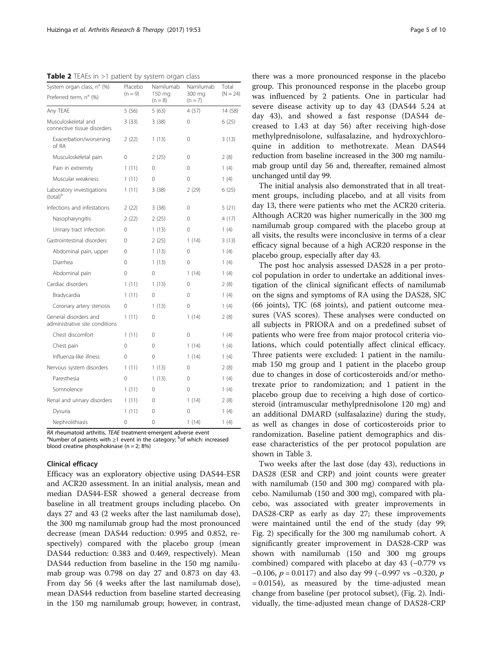<span id="page-4-0"></span>**Table 2** TEAEs in  $>1$  patient by system organ class

| System organ class, nª (%)<br>Preferred term, n <sup>a</sup> (%) | Placebo<br>$(n = 9)$ | Namilumab<br>150 mg<br>$(n = 8)$ | Namilumab<br>300 mg<br>$(n = 7)$<br>4(57)<br>0 | Total<br>$(N = 24)$<br>14 (58)<br>6(25) |
|------------------------------------------------------------------|----------------------|----------------------------------|------------------------------------------------|-----------------------------------------|
| Any TEAE                                                         | 5(56)<br>3(33)       | 5 (63)                           |                                                |                                         |
| Musculoskeletal and<br>connective tissue disorders               |                      | 3(38)                            |                                                |                                         |
| Exacerbation/worsening<br>of RA                                  | 2(22)                | 1(13)                            | 0                                              | 3(13)                                   |
| Musculoskeletal pain                                             | 0                    | 2(25)                            | 0                                              | 2(8)                                    |
| Pain in extremity                                                | 1(11)                | $\Omega$                         | 0                                              | 1(4)                                    |
| Muscular weakness                                                | 1(11)                | $\Omega$                         | $\Omega$                                       | 1(4)                                    |
| Laboratory investigations<br>(total) <sup>b</sup>                | 1(11)                | 3(38)                            | 2(29)                                          | 6 (25)                                  |
| Infections and infestations                                      | 2(22)                | 3(38)                            | 0                                              | 5(21)                                   |
| Nasopharyngitis                                                  | 2(22)                | 2(25)                            | $\Omega$                                       | 4 (17)                                  |
| Urinary tract infection                                          | 0                    | 1(13)                            | 0                                              | 1(4)                                    |
| Gastrointestinal disorders                                       | 0                    | 2(25)                            | 1(14)                                          | 3(13)                                   |
| Abdominal pain, upper                                            | 0                    | 1(13)                            | 0                                              | 1(4)                                    |
| Diarrhea                                                         | 0                    | 1(13)                            | 0                                              | 1(4)                                    |
| Abdominal pain                                                   | 0                    | $\Omega$                         | 1(14)                                          | 1(4)                                    |
| Cardiac disorders                                                | 1(11)                | 1(13)                            | 0                                              | 2(8)                                    |
| Bradycardia                                                      | 1(11)                | 0                                | 0                                              | 1(4)                                    |
| Coronary artery stenosis                                         | 0                    | 1(13)                            | 0                                              | 1(4)                                    |
| General disorders and<br>administrative site conditions          | 1(11)                | 0                                | 1(14)                                          | 2(8)                                    |
| Chest discomfort                                                 | 1(11)                | 0                                | 0                                              | 1(4)                                    |
| Chest pain                                                       | 0                    | $\Omega$                         | 1(14)                                          | 1(4)                                    |
| Influenza-like illness                                           | 0                    | $\Omega$                         | 1(14)                                          | 1(4)                                    |
| Nervous system disorders                                         | 1(11)                | 1(13)                            | 0                                              | 2(8)                                    |
| Paresthesia                                                      | 0                    | 1(13)                            | 0                                              | 1(4)                                    |
| Somnolence                                                       | 1(11)                | $\Omega$                         | 0                                              | 1(4)                                    |
| Renal and urinary disorders                                      | 1(11)                | $\Omega$                         | 1(14)                                          | 2(8)                                    |
| Dysuria                                                          | 1(11)                | $\Omega$                         | 0                                              | 1(4)                                    |
| Nephrolithiasis                                                  | 0                    | 0                                | 1(14)                                          | 1(4)                                    |

RA rheumatoid arthritis, TEAE treatment-emergent adverse event

Number of patients with ≥1 event in the category; <sup>b</sup>of which: increased blood creatine phosphokinase ( $n = 2$ ; 8%)

#### Clinical efficacy

Efficacy was an exploratory objective using DAS44-ESR and ACR20 assessment. In an initial analysis, mean and median DAS44-ESR showed a general decrease from baseline in all treatment groups including placebo. On days 27 and 43 (2 weeks after the last namilumab dose), the 300 mg namilumab group had the most pronounced decrease (mean DAS44 reduction: 0.995 and 0.852, respectively) compared with the placebo group (mean DAS44 reduction: 0.383 and 0.469, respectively). Mean DAS44 reduction from baseline in the 150 mg namilumab group was 0.798 on day 27 and 0.873 on day 43. From day 56 (4 weeks after the last namilumab dose), mean DAS44 reduction from baseline started decreasing in the 150 mg namilumab group; however, in contrast,

there was a more pronounced response in the placebo group. This pronounced response in the placebo group was influenced by 2 patients. One in particular had severe disease activity up to day 43 (DAS44 5.24 at day 43), and showed a fast response (DAS44 decreased to 1.43 at day 56) after receiving high-dose methylprednisolone, sulfasalazine, and hydroxychloroquine in addition to methotrexate. Mean DAS44 reduction from baseline increased in the 300 mg namilumab group until day 56 and, thereafter, remained almost unchanged until day 99.

The initial analysis also demonstrated that in all treatment groups, including placebo, and at all visits from day 13, there were patients who met the ACR20 criteria. Although ACR20 was higher numerically in the 300 mg namilumab group compared with the placebo group at all visits, the results were inconclusive in terms of a clear efficacy signal because of a high ACR20 response in the placebo group, especially after day 43.

The post hoc analysis assessed DAS28 in a per protocol population in order to undertake an additional investigation of the clinical significant effects of namilumab on the signs and symptoms of RA using the DAS28, SJC (66 joints), TJC (68 joints), and patient outcome measures (VAS scores). These analyses were conducted on all subjects in PRIORA and on a predefined subset of patients who were free from major protocol criteria violations, which could potentially affect clinical efficacy. Three patients were excluded: 1 patient in the namilumab 150 mg group and 1 patient in the placebo group due to changes in dose of corticosteroids and/or methotrexate prior to randomization; and 1 patient in the placebo group due to receiving a high dose of corticosteroid (intramuscular methylprednisolone 120 mg) and an additional DMARD (sulfasalazine) during the study, as well as changes in dose of corticosteroids prior to randomization. Baseline patient demographics and disease characteristics of the per protocol population are shown in Table [3.](#page-5-0)

Two weeks after the last dose (day 43), reductions in DAS28 (ESR and CRP) and joint counts were greater with namilumab (150 and 300 mg) compared with placebo. Namilumab (150 and 300 mg), compared with placebo, was associated with greater improvements in DAS28-CRP as early as day 27; these improvements were maintained until the end of the study (day 99; Fig. [2\)](#page-6-0) specifically for the 300 mg namilumab cohort. A significantly greater improvement in DAS28-CRP was shown with namilumab (150 and 300 mg groups combined) compared with placebo at day 43 (−0.779 vs −0.106,  $p = 0.0117$ ) and also day 99 (−0.997 vs −0.320,  $p$ )  $= 0.0154$ ), as measured by the time-adjusted mean change from baseline (per protocol subset), (Fig. [2](#page-6-0)). Individually, the time-adjusted mean change of DAS28-CRP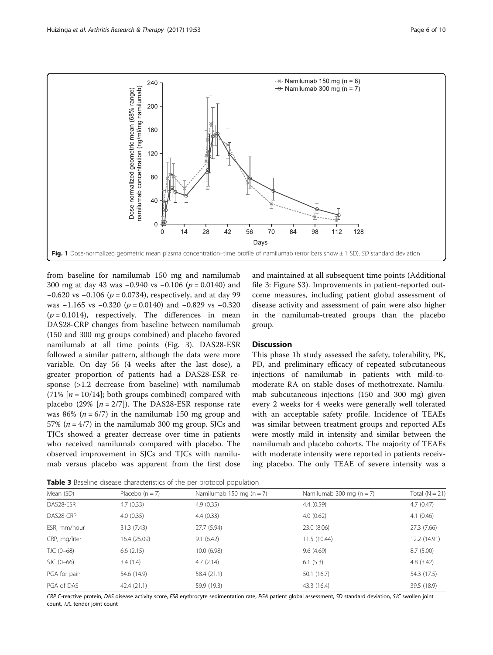<span id="page-5-0"></span>

from baseline for namilumab 150 mg and namilumab 300 mg at day 43 was −0.940 vs −0.106 (p = 0.0140) and −0.620 vs −0.106 ( $p = 0.0734$ ), respectively, and at day 99 was  $-1.165$  vs  $-0.320$  ( $p = 0.0140$ ) and  $-0.829$  vs  $-0.320$  $(p = 0.1014)$ , respectively. The differences in mean DAS28-CRP changes from baseline between namilumab (150 and 300 mg groups combined) and placebo favored namilumab at all time points (Fig. [3\)](#page-6-0). DAS28-ESR followed a similar pattern, although the data were more variable. On day 56 (4 weeks after the last dose), a greater proportion of patients had a DAS28-ESR response (>1.2 decrease from baseline) with namilumab (71%  $[n = 10/14]$ ; both groups combined) compared with placebo (29%  $[n = 2/7]$ ). The DAS28-ESR response rate was 86% ( $n = 6/7$ ) in the namilumab 150 mg group and 57% ( $n = 4/7$ ) in the namilumab 300 mg group. SJCs and TJCs showed a greater decrease over time in patients who received namilumab compared with placebo. The observed improvement in SJCs and TJCs with namilumab versus placebo was apparent from the first dose and maintained at all subsequent time points (Additional file [3](#page-7-0): Figure S3). Improvements in patient-reported outcome measures, including patient global assessment of disease activity and assessment of pain were also higher in the namilumab-treated groups than the placebo group.

#### **Discussion**

This phase 1b study assessed the safety, tolerability, PK, PD, and preliminary efficacy of repeated subcutaneous injections of namilumab in patients with mild-tomoderate RA on stable doses of methotrexate. Namilumab subcutaneous injections (150 and 300 mg) given every 2 weeks for 4 weeks were generally well tolerated with an acceptable safety profile. Incidence of TEAEs was similar between treatment groups and reported AEs were mostly mild in intensity and similar between the namilumab and placebo cohorts. The majority of TEAEs with moderate intensity were reported in patients receiving placebo. The only TEAE of severe intensity was a

Table 3 Baseline disease characteristics of the per protocol population

| <b>TWAIL 3</b> DUSCINIC UISCUSC CHURCICHISTICS OF THE PCT PROTOCOT POPULATION. |                   |                              |                              |                  |  |  |  |
|--------------------------------------------------------------------------------|-------------------|------------------------------|------------------------------|------------------|--|--|--|
| Mean (SD)                                                                      | Placebo $(n = 7)$ | Namilumab 150 mg ( $n = 7$ ) | Namilumab 300 mg ( $n = 7$ ) | Total $(N = 21)$ |  |  |  |
| DAS28-ESR                                                                      | 4.7(0.33)         | 4.9(0.35)                    | 4.4(0.59)                    | 4.7(0.47)        |  |  |  |
| DAS28-CRP                                                                      | 4.0(0.35)         | 4.4(0.33)                    | 4.0(0.62)                    | 4.1(0.46)        |  |  |  |
| ESR, mm/hour                                                                   | 31.3(7.43)        | 27.7 (5.94)                  | 23.0 (8.06)                  | 27.3 (7.66)      |  |  |  |
| CRP, mg/liter                                                                  | 16.4 (25.09)      | 9.1(6.42)                    | 11.5(10.44)                  | 12.2 (14.91)     |  |  |  |
| TJC (0-68)                                                                     | 6.6(2.15)         | 10.0 (6.98)                  | 9.6(4.69)                    | 8.7(5.00)        |  |  |  |
| $SJC(0-66)$                                                                    | 3.4(1.4)          | 4.7(2.14)                    | 6.1(5.3)                     | 4.8(3.42)        |  |  |  |
| PGA for pain                                                                   | 54.6 (14.9)       | 58.4 (21.1)                  | 50.1(16.7)                   | 54.3 (17.5)      |  |  |  |
| PGA of DAS                                                                     | 42.4(21.1)        | 59.9 (19.3)                  | 43.3 (16.4)                  | 39.5 (18.9)      |  |  |  |

CRP C-reactive protein, DAS disease activity score, ESR erythrocyte sedimentation rate, PGA patient global assessment, SD standard deviation, SJC swollen joint count, TJC tender joint count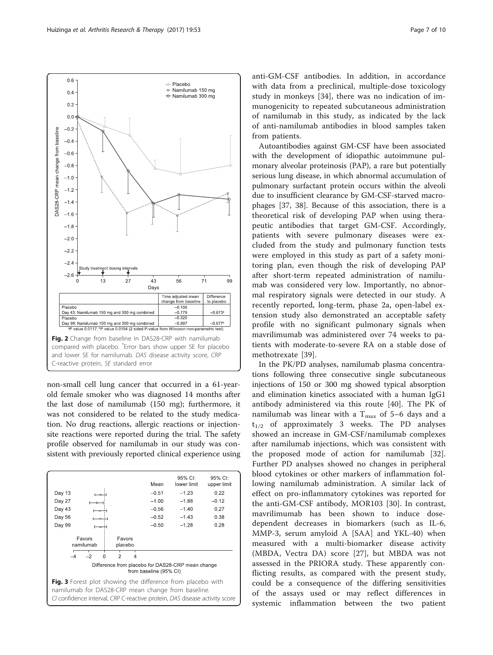<span id="page-6-0"></span>

non-small cell lung cancer that occurred in a 61-yearold female smoker who was diagnosed 14 months after the last dose of namilumab (150 mg); furthermore, it was not considered to be related to the study medication. No drug reactions, allergic reactions or injectionsite reactions were reported during the trial. The safety profile observed for namilumab in our study was consistent with previously reported clinical experience using



anti-GM-CSF antibodies. In addition, in accordance with data from a preclinical, multiple-dose toxicology study in monkeys [\[34](#page-9-0)], there was no indication of immunogenicity to repeated subcutaneous administration of namilumab in this study, as indicated by the lack of anti-namilumab antibodies in blood samples taken from patients.

Autoantibodies against GM-CSF have been associated with the development of idiopathic autoimmune pulmonary alveolar proteinosis (PAP), a rare but potentially serious lung disease, in which abnormal accumulation of pulmonary surfactant protein occurs within the alveoli due to insufficient clearance by GM-CSF-starved macrophages [\[37](#page-9-0), [38\]](#page-9-0). Because of this association, there is a theoretical risk of developing PAP when using therapeutic antibodies that target GM-CSF. Accordingly, patients with severe pulmonary diseases were excluded from the study and pulmonary function tests were employed in this study as part of a safety monitoring plan, even though the risk of developing PAP after short-term repeated administration of namilumab was considered very low. Importantly, no abnormal respiratory signals were detected in our study. A recently reported, long-term, phase 2a, open-label extension study also demonstrated an acceptable safety profile with no significant pulmonary signals when mavrilimumab was administered over 74 weeks to patients with moderate-to-severe RA on a stable dose of methotrexate [\[39](#page-9-0)].

In the PK/PD analyses, namilumab plasma concentrations following three consecutive single subcutaneous injections of 150 or 300 mg showed typical absorption and elimination kinetics associated with a human IgG1 antibody administered via this route [[40\]](#page-9-0). The PK of namilumab was linear with a  $T_{\text{max}}$  of 5–6 days and a  $t_{1/2}$  of approximately 3 weeks. The PD analyses showed an increase in GM-CSF/namilumab complexes after namilumab injections, which was consistent with the proposed mode of action for namilumab [\[32](#page-9-0)]. Further PD analyses showed no changes in peripheral blood cytokines or other markers of inflammation following namilumab administration. A similar lack of effect on pro-inflammatory cytokines was reported for the anti-GM-CSF antibody, MOR103 [[30](#page-9-0)]. In contrast, mavrilimumab has been shown to induce dosedependent decreases in biomarkers (such as IL-6, MMP-3, serum amyloid A [SAA] and YKL-40) when measured with a multi-biomarker disease activity (MBDA, Vectra DA) score [[27\]](#page-9-0), but MBDA was not assessed in the PRIORA study. These apparently conflicting results, as compared with the present study, could be a consequence of the differing sensitivities of the assays used or may reflect differences in systemic inflammation between the two patient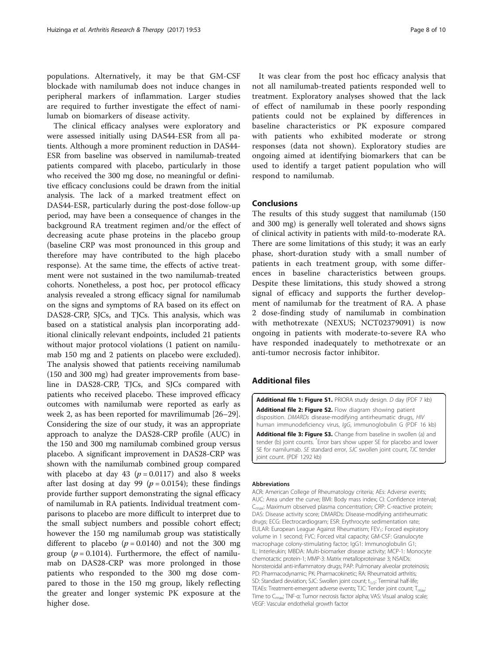<span id="page-7-0"></span>populations. Alternatively, it may be that GM-CSF blockade with namilumab does not induce changes in peripheral markers of inflammation. Larger studies are required to further investigate the effect of namilumab on biomarkers of disease activity.

The clinical efficacy analyses were exploratory and were assessed initially using DAS44-ESR from all patients. Although a more prominent reduction in DAS44- ESR from baseline was observed in namilumab-treated patients compared with placebo, particularly in those who received the 300 mg dose, no meaningful or definitive efficacy conclusions could be drawn from the initial analysis. The lack of a marked treatment effect on DAS44-ESR, particularly during the post-dose follow-up period, may have been a consequence of changes in the background RA treatment regimen and/or the effect of decreasing acute phase proteins in the placebo group (baseline CRP was most pronounced in this group and therefore may have contributed to the high placebo response). At the same time, the effects of active treatment were not sustained in the two namilumab-treated cohorts. Nonetheless, a post hoc, per protocol efficacy analysis revealed a strong efficacy signal for namilumab on the signs and symptoms of RA based on its effect on DAS28-CRP, SJCs, and TJCs. This analysis, which was based on a statistical analysis plan incorporating additional clinically relevant endpoints, included 21 patients without major protocol violations (1 patient on namilumab 150 mg and 2 patients on placebo were excluded). The analysis showed that patients receiving namilumab (150 and 300 mg) had greater improvements from baseline in DAS28-CRP, TJCs, and SJCs compared with patients who received placebo. These improved efficacy outcomes with namilumab were reported as early as week 2, as has been reported for mavrilimumab [[26](#page-9-0)–[29](#page-9-0)]. Considering the size of our study, it was an appropriate approach to analyze the DAS28-CRP profile (AUC) in the 150 and 300 mg namilumab combined group versus placebo. A significant improvement in DAS28-CRP was shown with the namilumab combined group compared with placebo at day 43 ( $p = 0.0117$ ) and also 8 weeks after last dosing at day 99 ( $p = 0.0154$ ); these findings provide further support demonstrating the signal efficacy of namilumab in RA patients. Individual treatment comparisons to placebo are more difficult to interpret due to the small subject numbers and possible cohort effect; however the 150 mg namilumab group was statistically different to placebo ( $p = 0.0140$ ) and not the 300 mg group ( $p = 0.1014$ ). Furthermore, the effect of namilumab on DAS28-CRP was more prolonged in those patients who responded to the 300 mg dose compared to those in the 150 mg group, likely reflecting the greater and longer systemic PK exposure at the higher dose.

It was clear from the post hoc efficacy analysis that not all namilumab-treated patients responded well to treatment. Exploratory analyses showed that the lack of effect of namilumab in these poorly responding patients could not be explained by differences in baseline characteristics or PK exposure compared with patients who exhibited moderate or strong responses (data not shown). Exploratory studies are ongoing aimed at identifying biomarkers that can be used to identify a target patient population who will respond to namilumab.

## Conclusions

The results of this study suggest that namilumab (150 and 300 mg) is generally well tolerated and shows signs of clinical activity in patients with mild-to-moderate RA. There are some limitations of this study; it was an early phase, short-duration study with a small number of patients in each treatment group, with some differences in baseline characteristics between groups. Despite these limitations, this study showed a strong signal of efficacy and supports the further development of namilumab for the treatment of RA. A phase 2 dose-finding study of namilumab in combination with methotrexate (NEXUS; NCT02379091) is now ongoing in patients with moderate-to-severe RA who have responded inadequately to methotrexate or an anti-tumor necrosis factor inhibitor.

# Additional files

[Additional file 1: Figure S1.](dx.doi.org/10.1186/s13075-017-1267-3) PRIORA study design. D day (PDF 7 kb) [Additional file 2: Figure S2.](dx.doi.org/10.1186/s13075-017-1267-3) Flow diagram showing patient disposition. DMARDs disease-modifying antirheumatic drugs, HIV human immunodeficiency virus, IgG, immunoglobulin G (PDF 16 kb) [Additional file 3: Figure S3.](dx.doi.org/10.1186/s13075-017-1267-3) Change from baseline in swollen (a) and

tender (b) joint counts. \* Error bars show upper SE for placebo and lower SE for namilumab. SE standard error, SJC swollen joint count, TJC tender joint count. (PDF 1292 kb)

#### Abbreviations

ACR: American College of Rheumatology criteria; AEs: Adverse events; AUC: Area under the curve; BMI: Body mass index; CI: Confidence interval; C<sub>max</sub>: Maximum observed plasma concentration; CRP: C-reactive protein; DAS: Disease activity score; DMARDs: Disease-modifying antirheumatic drugs; ECG: Electrocardiogram; ESR: Erythrocyte sedimentation rate; EULAR: European League Against Rheumatism; FEV<sub>1</sub>: Forced expiratory volume in 1 second; FVC: Forced vital capacity; GM-CSF: Granulocyte macrophage colony-stimulating factor; IgG1: Immunoglobulin G1; IL: Interleukin; MBDA: Multi-biomarker disease activity; MCP-1: Monocyte chemotactic protein-1; MMP-3: Matrix metalloproteinase 3; NSAIDs: Nonsteroidal anti-inflammatory drugs; PAP: Pulmonary alveolar proteinosis; PD: Pharmacodynamic; PK: Pharmacokinetic; RA: Rheumatoid arthritis; SD: Standard deviation; SJC: Swollen joint count;  $t_{1/2}$ : Terminal half-life; TEAEs: Treatment-emergent adverse events; TJC: Tender joint count; T<sub>max</sub> Time to Cmax; TNF-α: Tumor necrosis factor alpha; VAS: Visual analog scale; VEGF: Vascular endothelial growth factor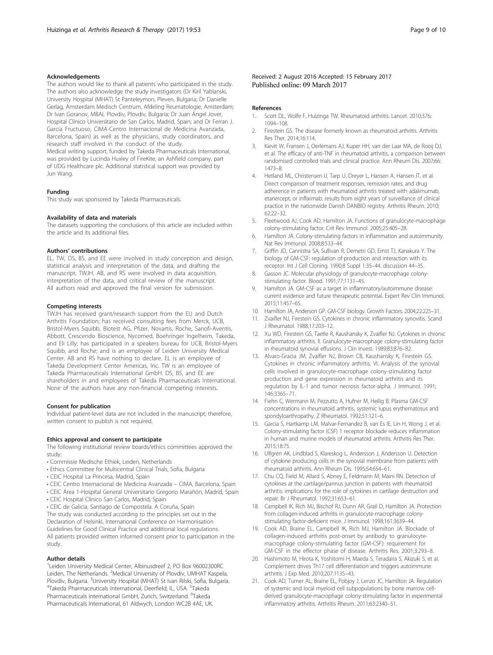#### <span id="page-8-0"></span>Acknowledgements

The authors would like to thank all patients who participated in the study. The authors also acknowledge the study investigators (Dr Kiril Yablanski, University Hospital (MHAT) St Panteleymon, Pleven, Bulgaria; Dr Danielle Gerlag, Amsterdam Medisch Centrum, Afdeling Reumatologie, Amsterdam; Dr Ivan Goranov, MBAL Plovdiv, Plovdiv, Bulgaria; Dr Juan Ángel Jover, Hospital Clínico Universitario de San Carlos, Madrid, Spain; and Dr Ferran J. García Fructuoso, CIMA-Centro Internacional de Medicina Avanzada, Barcelona, Spain) as well as the physicians, study coordinators, and research staff involved in the conduct of the study. Medical writing support, funded by Takeda Pharmaceuticals International, was provided by Lucinda Huxley of FireKite, an Ashfield company, part of UDG Healthcare plc. Additional statistical support was provided by Jun Wang.

#### Funding

This study was sponsored by Takeda Pharmaceuticals.

#### Availability of data and materials

The datasets supporting the conclusions of this article are included within the article and its additional files.

#### Authors' contributions

EL, TW, DS, BS, and EE were involved in study conception and design, statistical analysis and interpretation of the data, and drafting the manuscript. TWJH, AB, and RS were involved in data acquisition, interpretation of the data, and critical review of the manuscript. All authors read and approved the final version for submission.

#### Competing interests

TWJH has received grant/research support from the EU and Dutch Arthritis Foundation; has received consulting fees from Merck, UCB, Bristol-Myers Squibb, Biotest AG, Pfizer, Novartis, Roche, Sanofi-Aventis, Abbott, Crescendo Bioscience, Nycomed, Boehringer Ingelheim, Takeda, and Eli Lilly; has participated in a speakers bureau for UCB, Bristol-Myers Squibb, and Roche; and is an employee of Leiden University Medical Center. AB and RS have nothing to declare. EL is an employee of Takeda Development Center Americas, Inc. TW is an employee of Takeda Pharmaceuticals International GmbH. DS, BS, and EE are shareholders in and employees of Takeda Pharmaceuticals International. None of the authors have any non-financial competing interests.

#### Consent for publication

Individual patient-level data are not included in the manuscript; therefore, written consent to publish is not required.

#### Ethics approval and consent to participate

The following institutional review boards/ethics committees approved the study:

- Commissie Medische Ethiek, Leiden, Netherlands
- Ethics Committee for Multicentral Clinical Trials, Sofia, Bulgaria
- CEIC Hospital La Princesa, Madrid, Spain
- CEIC Centro Internacional de Medicina Avanzada CIMA, Barcelona, Spain
- CEIC Área 1-Hospital General Universitario Gregorio Marañón, Madrid, Spain
- CEIC Hospital Clínico San Carlos, Madrid, Spain

• CEIC de Galicia, Santiago de Compostela. A Coruña, Spain The study was conducted according to the principles set out in the Declaration of Helsinki, International Conference on Harmonisation Guidelines for Good Clinical Practice and additional local regulations. All patients provided written informed consent prior to participation in the study.

#### Author details

<sup>1</sup>Leiden University Medical Center, Albinusdreef 2, PO Box 96002300RC Leiden, The Netherlands. <sup>2</sup>Medical University of Plovdiv, UMHAT Kaspela, Plovdiv, Bulgaria. <sup>3</sup>University Hospital (MHAT) St Ivan Rilski, Sofia, Bulgaria.<br><sup>4</sup>Takoda Pharmacouticals International Deerfield II, USA. <sup>5</sup>Takoda. Takeda Pharmaceuticals International, Deerfield, IL, USA. <sup>5</sup>Takeda Pharmaceuticals International GmbH, Zurich, Switzerland. <sup>6</sup>Takeda Pharmaceuticals International, 61 Aldwych, London WC2B 4AE, UK.

### Received: 2 August 2016 Accepted: 15 February 2017 Published online: 09 March 2017

#### References

- 1. Scott DL, Wolfe F, Huizinga TW. Rheumatoid arthritis. Lancet. 2010;376: 1094–108.
- 2. Firestein GS. The disease formerly known as rheumatoid arthritis. Arthritis Res Ther. 2014;16:114.
- 3. Kievit W, Fransen J, Oerlemans AJ, Kuper HH, van der Laar MA, de Rooij DJ, et al. The efficacy of anti-TNF in rheumatoid arthritis, a comparison between randomised controlled trials and clinical practice. Ann Rheum Dis. 2007;66: 1473–8.
- 4. Hetland ML, Christensen IJ, Tarp U, Dreyer L, Hansen A, Hansen IT, et al. Direct comparison of treatment responses, remission rates, and drug adherence in patients with rheumatoid arthritis treated with adalimumab, etanercept, or infliximab: results from eight years of surveillance of clinical practice in the nationwide Danish DANBIO registry. Arthritis Rheum. 2010; 62:22–32.
- 5. Fleetwood AJ, Cook AD, Hamilton JA. Functions of granulocyte-macrophage colony-stimulating factor. Crit Rev Immunol. 2005;25:405–28.
- 6. Hamilton JA. Colony-stimulating factors in inflammation and autoimmunity. Nat Rev Immunol. 2008;8:533–44.
- 7. Griffin JD, Cannistra SA, Sullivan R, Demetri GD, Ernst TJ, Kanakura Y. The biology of GM-CSF: regulation of production and interaction with its receptor. Int J Cell Cloning. 1990;8 Suppl 1:35–44. discussion 44–35.
- 8. Gasson JC. Molecular physiology of granulocyte-macrophage colonystimulating factor. Blood. 1991;77:1131–45.
- 9. Hamilton JA. GM-CSF as a target in inflammatory/autoimmune disease: current evidence and future therapeutic potential. Expert Rev Clin Immunol. 2015;11:457–65.
- 10. Hamilton JA, Anderson GP. GM-CSF biology. Growth Factors. 2004;22:225–31.
- 11. Zvaifler NJ, Firestein GS. Cytokines in chronic inflammatory synovitis. Scand J Rheumatol. 1988;17:203–12.
- 12. Xu WD, Firestein GS, Taetle R, Kaushansky K, Zvaifler NJ. Cytokines in chronic inflammatory arthritis. II. Granulocyte-macrophage colony-stimulating factor in rheumatoid synovial effusions. J Clin Invest. 1989;83:876–82.
- 13. Alvaro-Gracia JM, Zvaifler NJ, Brown CB, Kaushansky K, Firestein GS. Cytokines in chronic inflammatory arthritis. VI. Analysis of the synovial cells involved in granulocyte-macrophage colony-stimulating factor production and gene expression in rheumatoid arthritis and its regulation by IL-1 and tumor necrosis factor-alpha. J Immunol. 1991; 146:3365–71.
- 14. Fiehn C, Wermann M, Pezzutto A, Hufner M, Heilig B. Plasma GM-CSF concentrations in rheumatoid arthritis, systemic lupus erythematosus and spondyloarthropathy. Z Rheumatol. 1992;51:121–6.
- 15. Garcia S, Hartkamp LM, Malvar-Fernandez B, van Es IE, Lin H, Wong J, et al. Colony-stimulating factor (CSF) 1 receptor blockade reduces inflammation in human and murine models of rheumatoid arthritis. Arthritis Res Ther. 2015;18:75.
- 16. Ulfgren AK, Lindblad S, Klareskog L, Andersson J, Andersson U. Detection of cytokine producing cells in the synovial membrane from patients with rheumatoid arthritis. Ann Rheum Dis. 1995;54:654–61.
- 17. Chu CQ, Field M, Allard S, Abney E, Feldmann M, Maini RN. Detection of cytokines at the cartilage/pannus junction in patients with rheumatoid arthritis: implications for the role of cytokines in cartilage destruction and repair. Br J Rheumatol. 1992;31:653–61.
- 18. Campbell IK, Rich MJ, Bischof RJ, Dunn AR, Grail D, Hamilton JA. Protection from collagen-induced arthritis in granulocyte-macrophage colonystimulating factor-deficient mice. J Immunol. 1998;161:3639–44.
- 19. Cook AD, Braine EL, Campbell IK, Rich MJ, Hamilton JA. Blockade of collagen-induced arthritis post-onset by antibody to granulocytemacrophage colony-stimulating factor (GM-CSF): requirement for GM-CSF in the effector phase of disease. Arthritis Res. 2001;3:293–8.
- 20. Hashimoto M, Hirota K, Yoshitomi H, Maeda S, Teradaira S, Akizuki S, et al. Complement drives Th17 cell differentiation and triggers autoimmune arthritis. J Exp Med. 2010;207:1135–43.
- 21. Cook AD, Turner AL, Braine EL, Pobjoy J, Lenzo JC, Hamilton JA. Regulation of systemic and local myeloid cell subpopulations by bone marrow cellderived granulocyte-macrophage colony-stimulating factor in experimental inflammatory arthritis. Arthritis Rheum. 2011;63:2340–51.